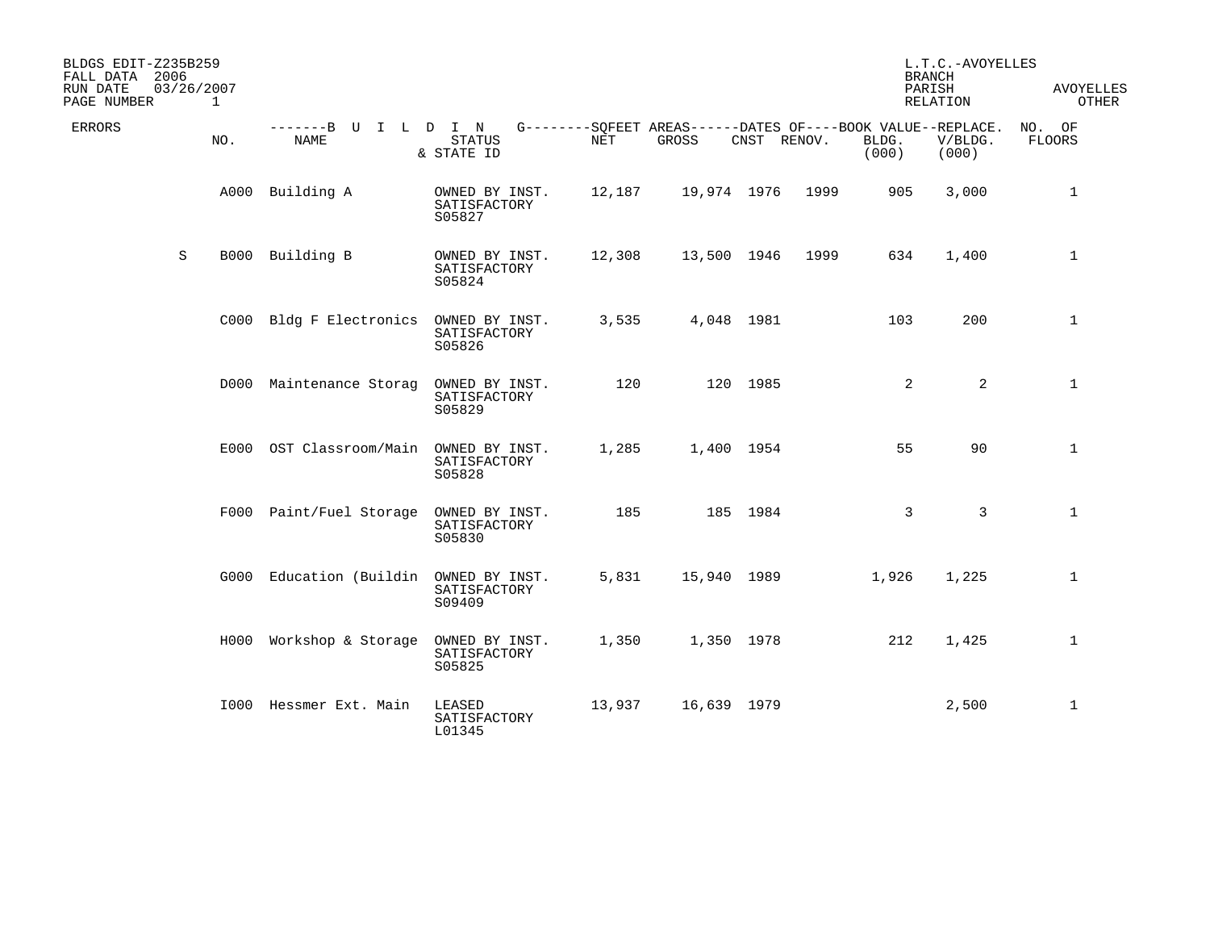| BLDGS EDIT-Z235B259<br>FALL DATA 2006<br>RUN DATE<br>PAGE NUMBER |   | 03/26/2007<br>$\mathbf{1}$ |                                        |                                          |                                                                    |             |             |      |                | L.T.C.-AVOYELLES<br><b>BRANCH</b><br>PARISH<br>RELATION | <b>AVOYELLES</b><br>OTHER |
|------------------------------------------------------------------|---|----------------------------|----------------------------------------|------------------------------------------|--------------------------------------------------------------------|-------------|-------------|------|----------------|---------------------------------------------------------|---------------------------|
| ERRORS                                                           |   | NO.                        | -------B U I L D I N<br><b>NAME</b>    | <b>STATUS</b><br>& STATE ID              | G--------SQFEET AREAS------DATES OF----BOOK VALUE--REPLACE.<br>NET | GROSS       | CNST RENOV. |      | BLDG.<br>(000) | V/BLDG.<br>(000)                                        | NO. OF<br><b>FLOORS</b>   |
|                                                                  |   |                            | A000 Building A                        | OWNED BY INST.<br>SATISFACTORY<br>S05827 | 12,187                                                             | 19,974 1976 |             | 1999 | 905            | 3,000                                                   | $\mathbf 1$               |
|                                                                  | S |                            | B000 Building B                        | OWNED BY INST.<br>SATISFACTORY<br>S05824 | 12,308                                                             | 13,500 1946 |             | 1999 | 634            | 1,400                                                   | $\mathbf 1$               |
|                                                                  |   |                            | C000 Bldg F Electronics OWNED BY INST. | SATISFACTORY<br>S05826                   | 3,535                                                              | 4,048 1981  |             |      | 103            | 200                                                     | $\mathbf 1$               |
|                                                                  |   |                            | D000 Maintenance Storag                | OWNED BY INST.<br>SATISFACTORY<br>S05829 | 120                                                                |             | 120 1985    |      | 2              | $\overline{a}$                                          | $\mathbf 1$               |
|                                                                  |   |                            | E000 OST Classroom/Main OWNED BY INST. | SATISFACTORY<br>S05828                   | 1,285                                                              | 1,400 1954  |             |      | 55             | 90                                                      | $\mathbf 1$               |
|                                                                  |   |                            | F000 Paint/Fuel Storage                | OWNED BY INST.<br>SATISFACTORY<br>S05830 | 185                                                                |             | 185 1984    |      | 3              | $\mathbf{3}$                                            | $\mathbf{1}$              |
|                                                                  |   |                            | G000 Education (Buildin OWNED BY INST. | SATISFACTORY<br>S09409                   | 5,831                                                              | 15,940 1989 |             |      | 1,926          | 1,225                                                   | $\mathbf{1}$              |
|                                                                  |   |                            | H000 Workshop & Storage OWNED BY INST. | SATISFACTORY<br>S05825                   | 1,350                                                              | 1,350 1978  |             |      | 212            | 1,425                                                   | $\mathbf{1}$              |
|                                                                  |   |                            | 1000 Hessmer Ext. Main                 | LEASED<br>SATISFACTORY<br>L01345         | 13,937                                                             | 16,639 1979 |             |      |                | 2,500                                                   | $\mathbf{1}$              |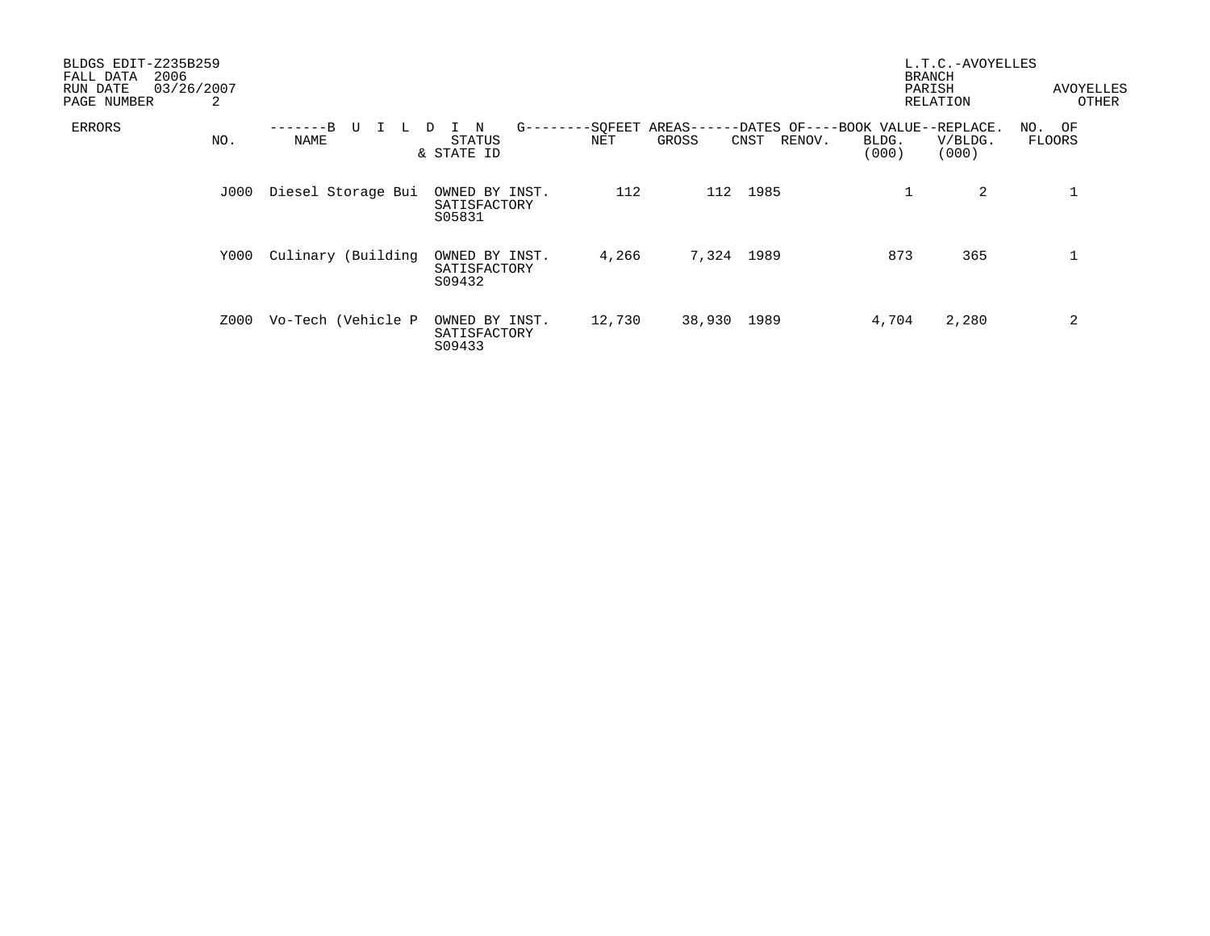| BLDGS EDIT-Z235B259<br>2006<br>FALL DATA<br>RUN DATE<br>PAGE NUMBER | 03/26/2007<br>2 |                       |                                                   |        |                                                                                | <b>BRANCH</b><br>PARISH | L.T.C.-AVOYELLES<br>RELATION | <b>AVOYELLES</b><br>OTHER |
|---------------------------------------------------------------------|-----------------|-----------------------|---------------------------------------------------|--------|--------------------------------------------------------------------------------|-------------------------|------------------------------|---------------------------|
| ERRORS                                                              | NO.             | -------B<br>U<br>NAME | $G - - - - - -$<br>N<br>D<br>STATUS<br>& STATE ID | NET    | -SOFEET AREAS------DATES OF----BOOK VALUE--REPLACE.<br>GROSS<br>RENOV.<br>CNST | BLDG.<br>(000)          | V/BLDG.<br>(000)             | NO. OF<br><b>FLOORS</b>   |
|                                                                     | J000            | Diesel Storage Bui    | OWNED BY INST.<br>SATISFACTORY<br>S05831          | 112    | 1985<br>112                                                                    |                         | 2                            |                           |
|                                                                     | Y000            | Culinary (Building    | OWNED BY INST.<br>SATISFACTORY<br>S09432          | 4,266  | 7,324 1989                                                                     | 873                     | 365                          |                           |
|                                                                     | Z000            | Vo-Tech (Vehicle P    | OWNED BY INST.<br>SATISFACTORY<br>S09433          | 12,730 | 38,930 1989                                                                    | 4,704                   | 2,280                        | 2                         |